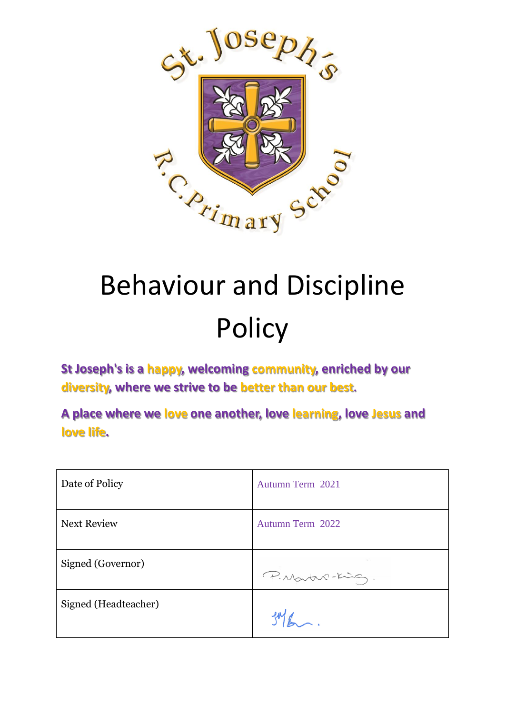

# Behaviour and Discipline **Policy**

**St Joseph's is a happy, welcoming community, enriched by our diversity, where we strive to be better than our best.**

**A place where we love one another, love learning, love Jesus and love life.**

| Date of Policy       | Autumn Term 2021 |
|----------------------|------------------|
| <b>Next Review</b>   | Autumn Term 2022 |
| Signed (Governor)    | P. Martin-King.  |
| Signed (Headteacher) |                  |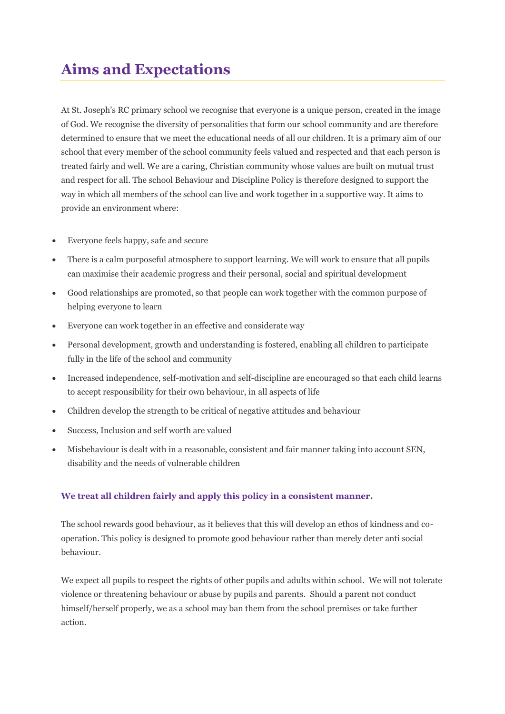## **Aims and Expectations**

At St. Joseph's RC primary school we recognise that everyone is a unique person, created in the image of God. We recognise the diversity of personalities that form our school community and are therefore determined to ensure that we meet the educational needs of all our children. It is a primary aim of our school that every member of the school community feels valued and respected and that each person is treated fairly and well. We are a caring, Christian community whose values are built on mutual trust and respect for all. The school Behaviour and Discipline Policy is therefore designed to support the way in which all members of the school can live and work together in a supportive way. It aims to provide an environment where:

- Everyone feels happy, safe and secure
- There is a calm purposeful atmosphere to support learning. We will work to ensure that all pupils can maximise their academic progress and their personal, social and spiritual development
- Good relationships are promoted, so that people can work together with the common purpose of helping everyone to learn
- Everyone can work together in an effective and considerate way
- Personal development, growth and understanding is fostered, enabling all children to participate fully in the life of the school and community
- Increased independence, self-motivation and self-discipline are encouraged so that each child learns to accept responsibility for their own behaviour, in all aspects of life
- Children develop the strength to be critical of negative attitudes and behaviour
- Success, Inclusion and self worth are valued
- Misbehaviour is dealt with in a reasonable, consistent and fair manner taking into account SEN, disability and the needs of vulnerable children

#### **We treat all children fairly and apply this policy in a consistent manner.**

The school rewards good behaviour, as it believes that this will develop an ethos of kindness and cooperation. This policy is designed to promote good behaviour rather than merely deter anti social behaviour.

We expect all pupils to respect the rights of other pupils and adults within school. We will not tolerate violence or threatening behaviour or abuse by pupils and parents. Should a parent not conduct himself/herself properly, we as a school may ban them from the school premises or take further action.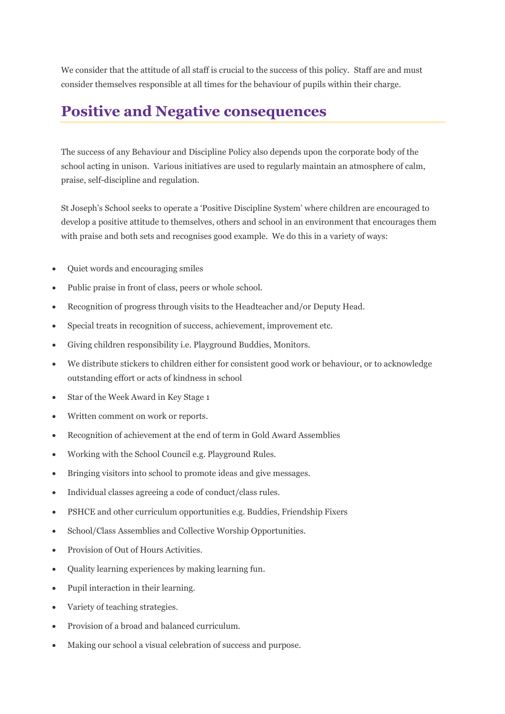We consider that the attitude of all staff is crucial to the success of this policy. Staff are and must consider themselves responsible at all times for the behaviour of pupils within their charge.

#### **Positive and Negative consequences**

The success of any Behaviour and Discipline Policy also depends upon the corporate body of the school acting in unison. Various initiatives are used to regularly maintain an atmosphere of calm, praise, self-discipline and regulation.

St Joseph's School seeks to operate a 'Positive Discipline System' where children are encouraged to develop a positive attitude to themselves, others and school in an environment that encourages them with praise and both sets and recognises good example. We do this in a variety of ways:

- Quiet words and encouraging smiles
- Public praise in front of class, peers or whole school.
- Recognition of progress through visits to the Headteacher and/or Deputy Head.
- Special treats in recognition of success, achievement, improvement etc.
- Giving children responsibility i.e. Playground Buddies, Monitors.
- We distribute stickers to children either for consistent good work or behaviour, or to acknowledge outstanding effort or acts of kindness in school
- Star of the Week Award in Key Stage 1
- Written comment on work or reports.
- Recognition of achievement at the end of term in Gold Award Assemblies
- Working with the School Council e.g. Playground Rules.
- Bringing visitors into school to promote ideas and give messages.
- Individual classes agreeing a code of conduct/class rules.
- PSHCE and other curriculum opportunities e.g. Buddies, Friendship Fixers
- School/Class Assemblies and Collective Worship Opportunities.
- Provision of Out of Hours Activities.
- Quality learning experiences by making learning fun.
- Pupil interaction in their learning.
- Variety of teaching strategies.
- Provision of a broad and balanced curriculum.
- Making our school a visual celebration of success and purpose.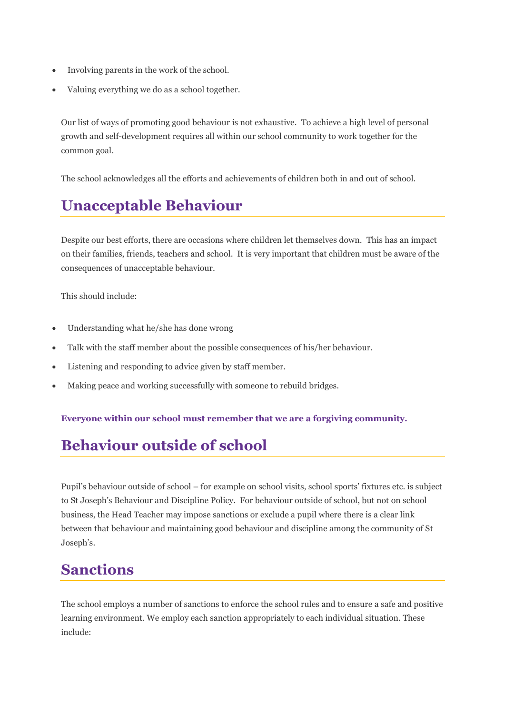- Involving parents in the work of the school.
- Valuing everything we do as a school together.

Our list of ways of promoting good behaviour is not exhaustive. To achieve a high level of personal growth and self-development requires all within our school community to work together for the common goal.

The school acknowledges all the efforts and achievements of children both in and out of school.

## **Unacceptable Behaviour**

Despite our best efforts, there are occasions where children let themselves down. This has an impact on their families, friends, teachers and school. It is very important that children must be aware of the consequences of unacceptable behaviour.

This should include:

- Understanding what he/she has done wrong
- Talk with the staff member about the possible consequences of his/her behaviour.
- Listening and responding to advice given by staff member.
- Making peace and working successfully with someone to rebuild bridges.

#### **Everyone within our school must remember that we are a forgiving community.**

## **Behaviour outside of school**

Pupil's behaviour outside of school – for example on school visits, school sports' fixtures etc. is subject to St Joseph's Behaviour and Discipline Policy.For behaviour outside of school, but not on school business, the Head Teacher may impose sanctions or exclude a pupil where there is a clear link between that behaviour and maintaining good behaviour and discipline among the community of St Joseph's.

#### **Sanctions**

The school employs a number of sanctions to enforce the school rules and to ensure a safe and positive learning environment. We employ each sanction appropriately to each individual situation. These include: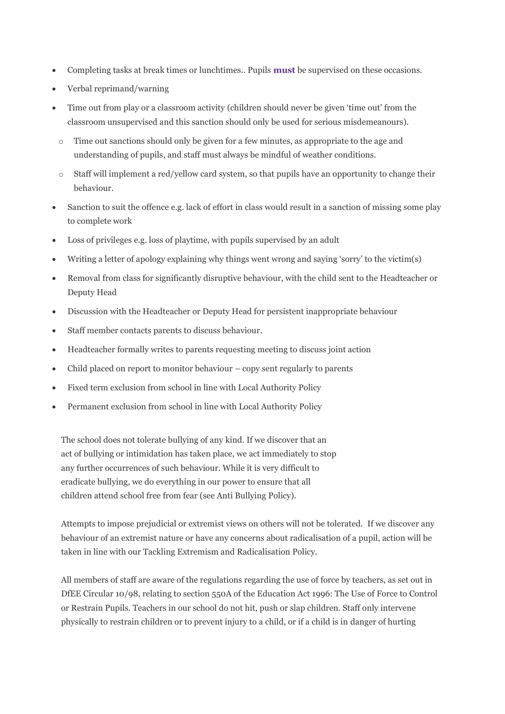- Completing tasks at break times or lunchtimes.. Pupils **must** be supervised on these occasions.
- Verbal reprimand/warning
- Time out from play or a classroom activity (children should never be given 'time out' from the classroom unsupervised and this sanction should only be used for serious misdemeanours).
	- o Time out sanctions should only be given for a few minutes, as appropriate to the age and understanding of pupils, and staff must always be mindful of weather conditions.
- $\circ$  Staff will implement a red/yellow card system, so that pupils have an opportunity to change their behaviour.
- Sanction to suit the offence e.g. lack of effort in class would result in a sanction of missing some play to complete work
- Loss of privileges e.g. loss of playtime, with pupils supervised by an adult
- Writing a letter of apology explaining why things went wrong and saying 'sorry' to the victim(s)
- Removal from class for significantly disruptive behaviour, with the child sent to the Headteacher or Deputy Head
- Discussion with the Headteacher or Deputy Head for persistent inappropriate behaviour
- Staff member contacts parents to discuss behaviour.
- Headteacher formally writes to parents requesting meeting to discuss joint action
- Child placed on report to monitor behaviour copy sent regularly to parents
- Fixed term exclusion from school in line with Local Authority Policy
- Permanent exclusion from school in line with Local Authority Policy

The school does not tolerate bullying of any kind. If we discover that an act of bullying or intimidation has taken place, we act immediately to stop any further occurrences of such behaviour. While it is very difficult to eradicate bullying, we do everything in our power to ensure that all children attend school free from fear (see Anti Bullying Policy).

Attempts to impose prejudicial or extremist views on others will not be tolerated. If we discover any behaviour of an extremist nature or have any concerns about radicalisation of a pupil, action will be taken in line with our Tackling Extremism and Radicalisation Policy.

All members of staff are aware of the regulations regarding the use of force by teachers, as set out in DfEE Circular 10/98, relating to section 550A of the Education Act 1996: The Use of Force to Control or Restrain Pupils. Teachers in our school do not hit, push or slap children. Staff only intervene physically to restrain children or to prevent injury to a child, or if a child is in danger of hurting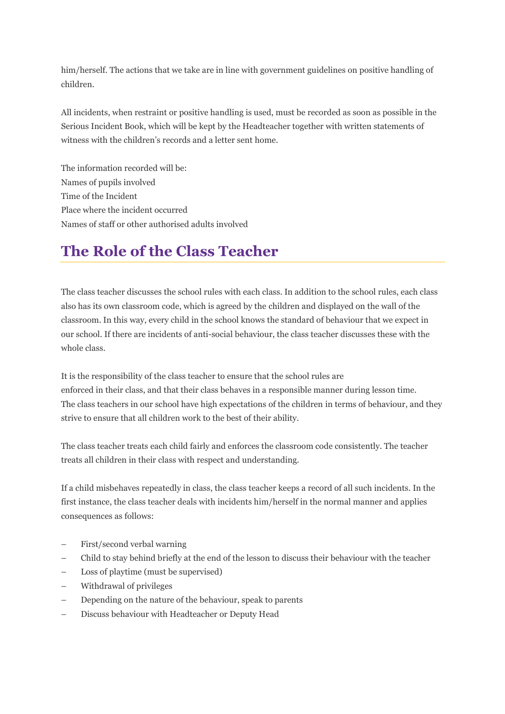him/herself. The actions that we take are in line with government guidelines on positive handling of children.

All incidents, when restraint or positive handling is used, must be recorded as soon as possible in the Serious Incident Book, which will be kept by the Headteacher together with written statements of witness with the children's records and a letter sent home.

The information recorded will be: Names of pupils involved Time of the Incident Place where the incident occurred Names of staff or other authorised adults involved

## **The Role of the Class Teacher**

The class teacher discusses the school rules with each class. In addition to the school rules, each class also has its own classroom code, which is agreed by the children and displayed on the wall of the classroom. In this way, every child in the school knows the standard of behaviour that we expect in our school. If there are incidents of anti-social behaviour, the class teacher discusses these with the whole class.

It is the responsibility of the class teacher to ensure that the school rules are enforced in their class, and that their class behaves in a responsible manner during lesson time. The class teachers in our school have high expectations of the children in terms of behaviour, and they strive to ensure that all children work to the best of their ability.

The class teacher treats each child fairly and enforces the classroom code consistently. The teacher treats all children in their class with respect and understanding.

If a child misbehaves repeatedly in class, the class teacher keeps a record of all such incidents. In the first instance, the class teacher deals with incidents him/herself in the normal manner and applies consequences as follows:

- First/second verbal warning
- Child to stay behind briefly at the end of the lesson to discuss their behaviour with the teacher
- Loss of playtime (must be supervised)
- Withdrawal of privileges
- Depending on the nature of the behaviour, speak to parents
- Discuss behaviour with Headteacher or Deputy Head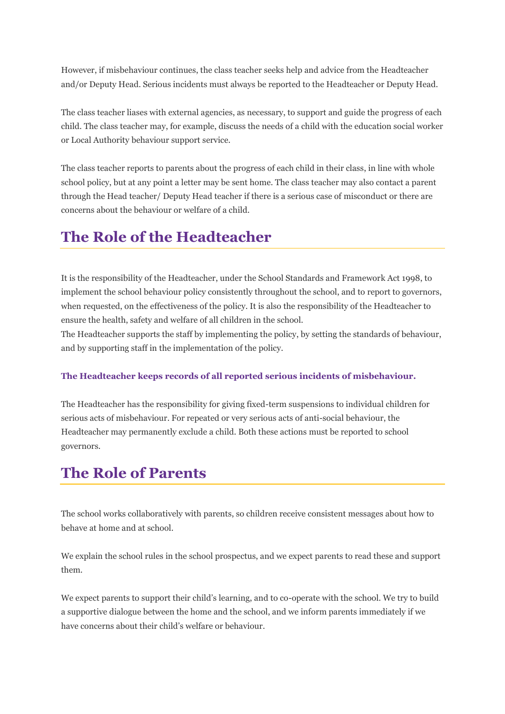However, if misbehaviour continues, the class teacher seeks help and advice from the Headteacher and/or Deputy Head. Serious incidents must always be reported to the Headteacher or Deputy Head.

The class teacher liases with external agencies, as necessary, to support and guide the progress of each child. The class teacher may, for example, discuss the needs of a child with the education social worker or Local Authority behaviour support service.

The class teacher reports to parents about the progress of each child in their class, in line with whole school policy, but at any point a letter may be sent home. The class teacher may also contact a parent through the Head teacher/ Deputy Head teacher if there is a serious case of misconduct or there are concerns about the behaviour or welfare of a child.

## **The Role of the Headteacher**

It is the responsibility of the Headteacher, under the School Standards and Framework Act 1998, to implement the school behaviour policy consistently throughout the school, and to report to governors, when requested, on the effectiveness of the policy. It is also the responsibility of the Headteacher to ensure the health, safety and welfare of all children in the school.

The Headteacher supports the staff by implementing the policy, by setting the standards of behaviour, and by supporting staff in the implementation of the policy.

#### **The Headteacher keeps records of all reported serious incidents of misbehaviour.**

The Headteacher has the responsibility for giving fixed-term suspensions to individual children for serious acts of misbehaviour. For repeated or very serious acts of anti-social behaviour, the Headteacher may permanently exclude a child. Both these actions must be reported to school governors.

#### **The Role of Parents**

The school works collaboratively with parents, so children receive consistent messages about how to behave at home and at school.

We explain the school rules in the school prospectus, and we expect parents to read these and support them.

We expect parents to support their child's learning, and to co-operate with the school. We try to build a supportive dialogue between the home and the school, and we inform parents immediately if we have concerns about their child's welfare or behaviour.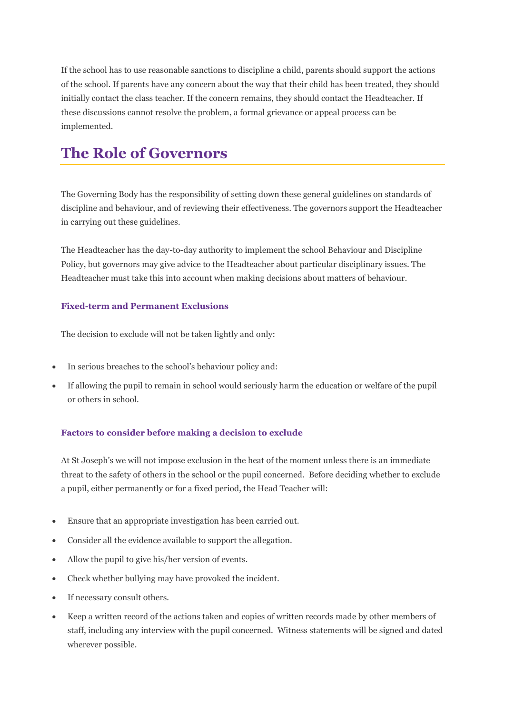If the school has to use reasonable sanctions to discipline a child, parents should support the actions of the school. If parents have any concern about the way that their child has been treated, they should initially contact the class teacher. If the concern remains, they should contact the Headteacher. If these discussions cannot resolve the problem, a formal grievance or appeal process can be implemented.

## **The Role of Governors**

The Governing Body has the responsibility of setting down these general guidelines on standards of discipline and behaviour, and of reviewing their effectiveness. The governors support the Headteacher in carrying out these guidelines.

The Headteacher has the day-to-day authority to implement the school Behaviour and Discipline Policy, but governors may give advice to the Headteacher about particular disciplinary issues. The Headteacher must take this into account when making decisions about matters of behaviour.

#### **Fixed-term and Permanent Exclusions**

The decision to exclude will not be taken lightly and only:

- In serious breaches to the school's behaviour policy and:
- If allowing the pupil to remain in school would seriously harm the education or welfare of the pupil or others in school.

#### **Factors to consider before making a decision to exclude**

At St Joseph's we will not impose exclusion in the heat of the moment unless there is an immediate threat to the safety of others in the school or the pupil concerned. Before deciding whether to exclude a pupil, either permanently or for a fixed period, the Head Teacher will:

- Ensure that an appropriate investigation has been carried out.
- Consider all the evidence available to support the allegation.
- Allow the pupil to give his/her version of events.
- Check whether bullying may have provoked the incident.
- If necessary consult others.
- Keep a written record of the actions taken and copies of written records made by other members of staff, including any interview with the pupil concerned. Witness statements will be signed and dated wherever possible.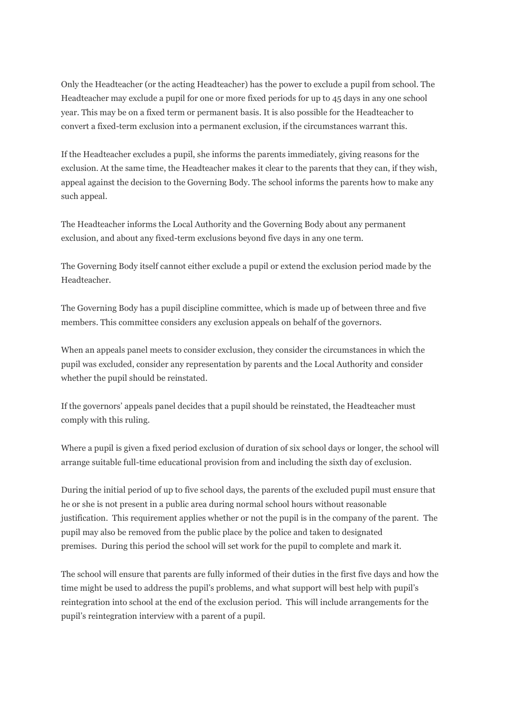Only the Headteacher (or the acting Headteacher) has the power to exclude a pupil from school. The Headteacher may exclude a pupil for one or more fixed periods for up to 45 days in any one school year. This may be on a fixed term or permanent basis. It is also possible for the Headteacher to convert a fixed-term exclusion into a permanent exclusion, if the circumstances warrant this.

If the Headteacher excludes a pupil, she informs the parents immediately, giving reasons for the exclusion. At the same time, the Headteacher makes it clear to the parents that they can, if they wish, appeal against the decision to the Governing Body. The school informs the parents how to make any such appeal.

The Headteacher informs the Local Authority and the Governing Body about any permanent exclusion, and about any fixed-term exclusions beyond five days in any one term.

The Governing Body itself cannot either exclude a pupil or extend the exclusion period made by the Headteacher.

The Governing Body has a pupil discipline committee, which is made up of between three and five members. This committee considers any exclusion appeals on behalf of the governors.

When an appeals panel meets to consider exclusion, they consider the circumstances in which the pupil was excluded, consider any representation by parents and the Local Authority and consider whether the pupil should be reinstated.

If the governors' appeals panel decides that a pupil should be reinstated, the Headteacher must comply with this ruling.

Where a pupil is given a fixed period exclusion of duration of six school days or longer, the school will arrange suitable full-time educational provision from and including the sixth day of exclusion.

During the initial period of up to five school days, the parents of the excluded pupil must ensure that he or she is not present in a public area during normal school hours without reasonable justification. This requirement applies whether or not the pupil is in the company of the parent. The pupil may also be removed from the public place by the police and taken to designated premises. During this period the school will set work for the pupil to complete and mark it.

The school will ensure that parents are fully informed of their duties in the first five days and how the time might be used to address the pupil's problems, and what support will best help with pupil's reintegration into school at the end of the exclusion period. This will include arrangements for the pupil's reintegration interview with a parent of a pupil.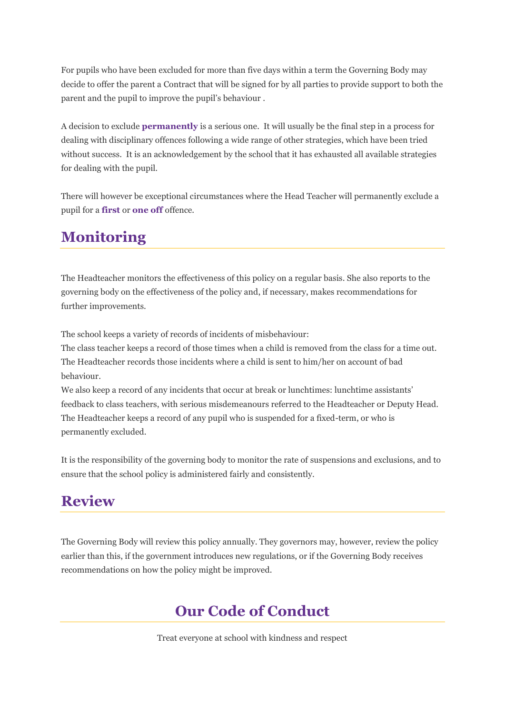For pupils who have been excluded for more than five days within a term the Governing Body may decide to offer the parent a Contract that will be signed for by all parties to provide support to both the parent and the pupil to improve the pupil's behaviour .

A decision to exclude **permanently** is a serious one. It will usually be the final step in a process for dealing with disciplinary offences following a wide range of other strategies, which have been tried without success. It is an acknowledgement by the school that it has exhausted all available strategies for dealing with the pupil.

There will however be exceptional circumstances where the Head Teacher will permanently exclude a pupil for a **first** or **one off** offence.

# **Monitoring**

The Headteacher monitors the effectiveness of this policy on a regular basis. She also reports to the governing body on the effectiveness of the policy and, if necessary, makes recommendations for further improvements.

The school keeps a variety of records of incidents of misbehaviour:

The class teacher keeps a record of those times when a child is removed from the class for a time out. The Headteacher records those incidents where a child is sent to him/her on account of bad behaviour.

We also keep a record of any incidents that occur at break or lunchtimes: lunchtime assistants' feedback to class teachers, with serious misdemeanours referred to the Headteacher or Deputy Head. The Headteacher keeps a record of any pupil who is suspended for a fixed-term, or who is permanently excluded.

It is the responsibility of the governing body to monitor the rate of suspensions and exclusions, and to ensure that the school policy is administered fairly and consistently.

## **Review**

The Governing Body will review this policy annually. They governors may, however, review the policy earlier than this, if the government introduces new regulations, or if the Governing Body receives recommendations on how the policy might be improved.

## **Our Code of Conduct**

Treat everyone at school with kindness and respect